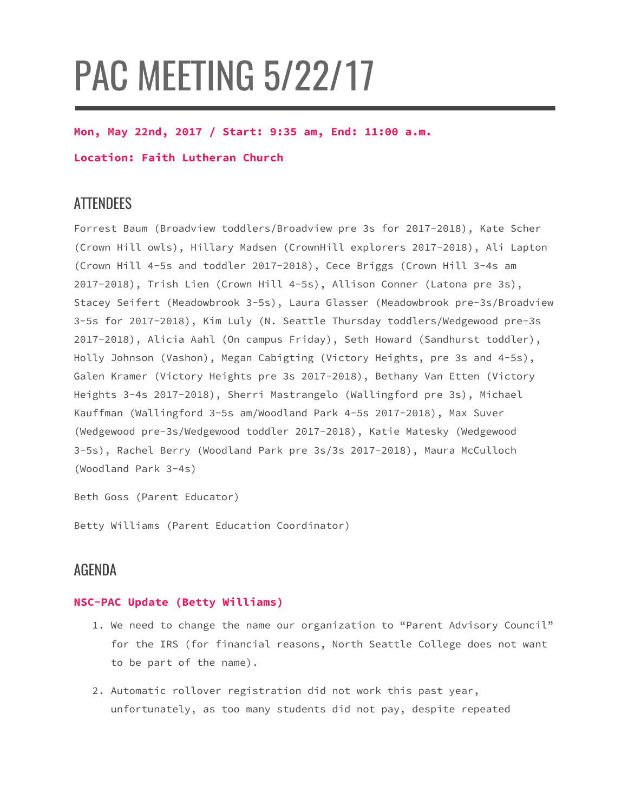# PAC MEETING 5/22/17

#### **Mon, May 22nd, 2017 / Start: 9:35 am, End: 11:00 a.m.**

#### **Location: Faith Lutheran Church**

## **ATTENDEES**

Forrest Baum (Broadview toddlers/Broadview pre 3s for 2017-2018), Kate Scher (Crown Hill owls), Hillary Madsen (CrownHill explorers 2017-2018), Ali Lapton (Crown Hill 4-5s and toddler 2017-2018), Cece Briggs (Crown Hill 3-4s am 2017-2018), Trish Lien (Crown Hill 4-5s), Allison Conner (Latona pre 3s), Stacey Seifert (Meadowbrook 3-5s), Laura Glasser (Meadowbrook pre-3s/Broadview 3-5s for 2017-2018), Kim Luly (N. Seattle Thursday toddlers/Wedgewood pre-3s 2017-2018), Alicia Aahl (On campus Friday), Seth Howard (Sandhurst toddler), Holly Johnson (Vashon), Megan Cabigting (Victory Heights, pre 3s and 4-5s), Galen Kramer (Victory Heights pre 3s 2017-2018), Bethany Van Etten (Victory Heights 3-4s 2017-2018), Sherri Mastrangelo (Wallingford pre 3s), Michael Kauffman (Wallingford 3-5s am/Woodland Park 4-5s 2017-2018), Max Suver (Wedgewood pre-3s/Wedgewood toddler 2017-2018), Katie Matesky (Wedgewood 3-5s), Rachel Berry (Woodland Park pre 3s/3s 2017-2018), Maura McCulloch (Woodland Park 3-4s)

Beth Goss (Parent Educator)

Betty Williams (Parent Education Coordinator)

## AGENDA

#### **NSC-PAC Update (Betty Williams)**

- 1. We need to change the name our organization to "Parent Advisory Council" for the IRS (for financial reasons, North Seattle College does not want to be part of the name).
- 2. Automatic rollover registration did not work this past year, unfortunately, as too many students did not pay, despite repeated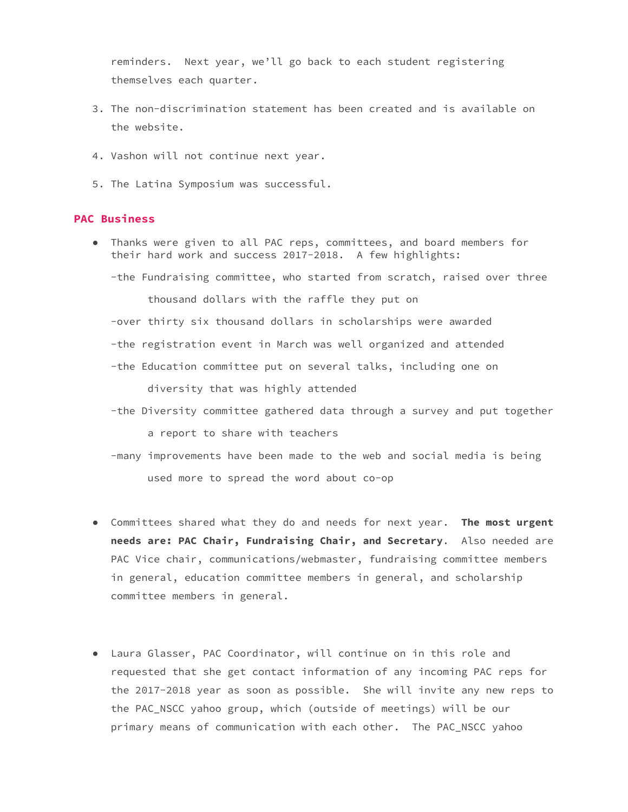reminders. Next year, we'll go back to each student registering themselves each quarter.

- 3. The non-discrimination statement has been created and is available on the website.
- 4. Vashon will not continue next year.
- 5. The Latina Symposium was successful.

#### **PAC Business**

● Thanks were given to all PAC reps, committees, and board members for their hard work and success 2017-2018. A few highlights:

-the Fundraising committee, who started from scratch, raised over three thousand dollars with the raffle they put on

-over thirty six thousand dollars in scholarships were awarded

-the registration event in March was well organized and attended

-the Education committee put on several talks, including one on

diversity that was highly attended

-the Diversity committee gathered data through a survey and put together

a report to share with teachers

- -many improvements have been made to the web and social media is being used more to spread the word about co-op
- Committees shared what they do and needs for next year. **The most urgent needs are: PAC Chair, Fundraising Chair, and Secretary**. Also needed are PAC Vice chair, communications/webmaster, fundraising committee members in general, education committee members in general, and scholarship committee members in general.
- Laura Glasser, PAC Coordinator, will continue on in this role and requested that she get contact information of any incoming PAC reps for the 2017-2018 year as soon as possible. She will invite any new reps to the PAC\_NSCC yahoo group, which (outside of meetings) will be our primary means of communication with each other. The PAC\_NSCC yahoo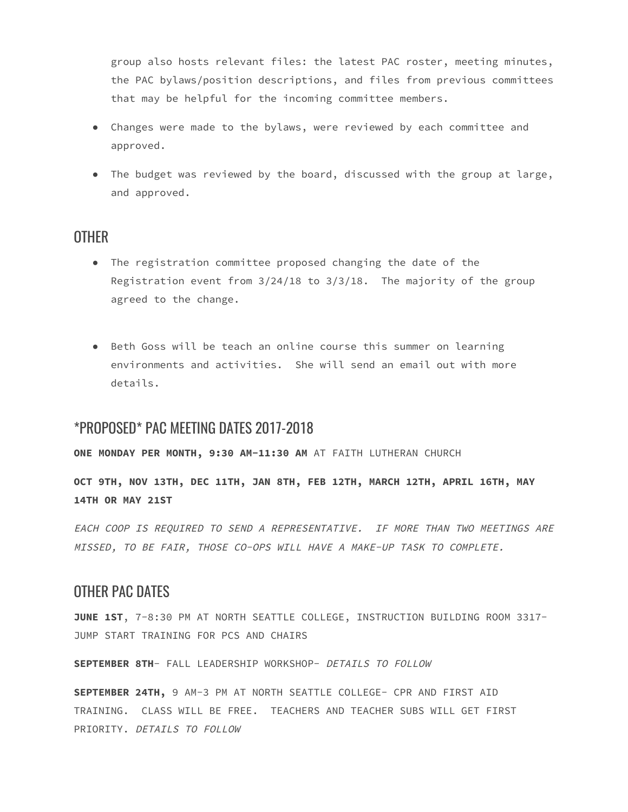group also hosts relevant files: the latest PAC roster, meeting minutes, the PAC bylaws/position descriptions, and files from previous committees that may be helpful for the incoming committee members.

- Changes were made to the bylaws, were reviewed by each committee and approved.
- The budget was reviewed by the board, discussed with the group at large, and approved.

## **OTHER**

- The registration committee proposed changing the date of the Registration event from 3/24/18 to 3/3/18. The majority of the group agreed to the change.
- Beth Goss will be teach an online course this summer on learning environments and activities. She will send an email out with more details.

## \*PROPOSED\* PAC MEETING DATES 2017-2018

**ONE MONDAY PER MONTH, 9:30 AM-11:30 AM** AT FAITH LUTHERAN CHURCH

**OCT 9TH, NOV 13TH, DEC 11TH, JAN 8TH, FEB 12TH, MARCH 12TH, APRIL 16TH, MAY 14TH OR MAY 21ST**

EACH COOP IS REQUIRED TO SEND A REPRESENTATIVE. IF MORE THAN TWO MEETINGS ARE MISSED, TO BE FAIR, THOSE CO-OPS WILL HAVE A MAKE-UP TASK TO COMPLETE.

### OTHER PAC DATES

**JUNE 1ST**, 7-8:30 PM AT NORTH SEATTLE COLLEGE, INSTRUCTION BUILDING ROOM 3317- JUMP START TRAINING FOR PCS AND CHAIRS

**SEPTEMBER 8TH**- FALL LEADERSHIP WORKSHOP- DETAILS TO FOLLOW

**SEPTEMBER 24TH,** 9 AM-3 PM AT NORTH SEATTLE COLLEGE- CPR AND FIRST AID TRAINING. CLASS WILL BE FREE. TEACHERS AND TEACHER SUBS WILL GET FIRST PRIORITY. DETAILS TO FOLLOW